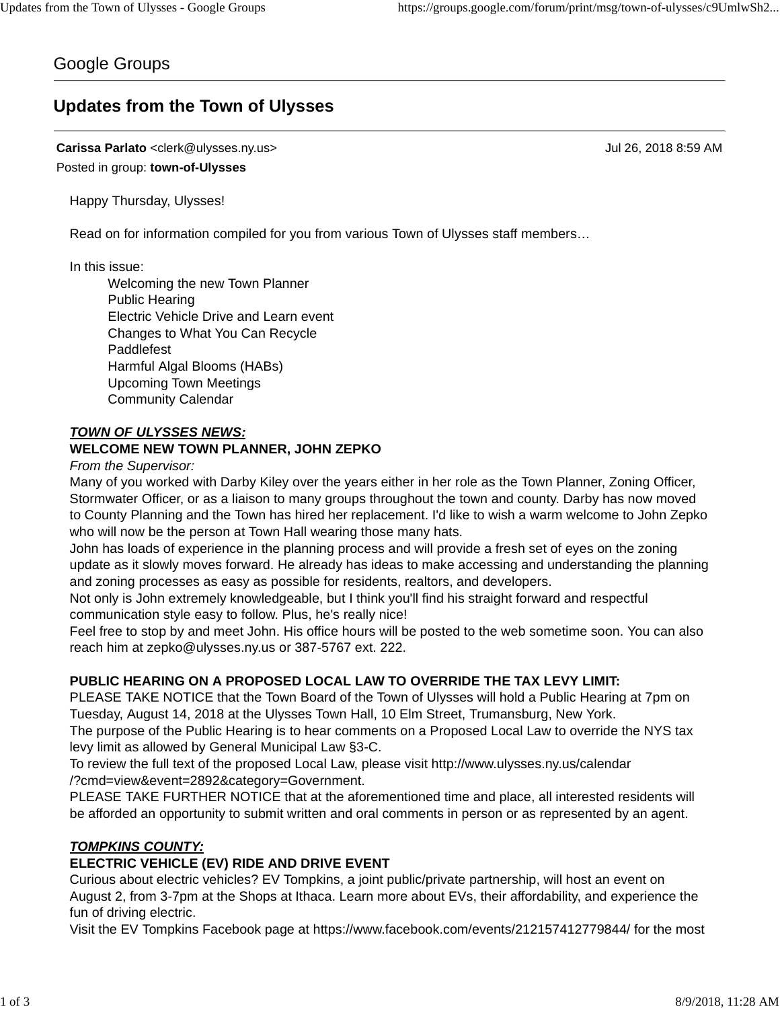## Google Groups

# **Updates from the Town of Ulysses**

**Carissa Parlato** <clerk@ulysses.ny.us> Jul 26, 2018 8:59 AM Posted in group: **town-of-Ulysses**

Happy Thursday, Ulysses!

Read on for information compiled for you from various Town of Ulysses staff members…

In this issue:

Welcoming the new Town Planner Public Hearing Electric Vehicle Drive and Learn event Changes to What You Can Recycle Paddlefest Harmful Algal Blooms (HABs) Upcoming Town Meetings Community Calendar

#### *TOWN OF ULYSSES NEWS:* **WELCOME NEW TOWN PLANNER, JOHN ZEPKO**

#### *From the Supervisor:*

Many of you worked with Darby Kiley over the years either in her role as the Town Planner, Zoning Officer, Stormwater Officer, or as a liaison to many groups throughout the town and county. Darby has now moved to County Planning and the Town has hired her replacement. I'd like to wish a warm welcome to John Zepko who will now be the person at Town Hall wearing those many hats.

John has loads of experience in the planning process and will provide a fresh set of eyes on the zoning update as it slowly moves forward. He already has ideas to make accessing and understanding the planning and zoning processes as easy as possible for residents, realtors, and developers.

Not only is John extremely knowledgeable, but I think you'll find his straight forward and respectful communication style easy to follow. Plus, he's really nice!

Feel free to stop by and meet John. His office hours will be posted to the web sometime soon. You can also reach him at zepko@ulysses.ny.us or 387-5767 ext. 222.

#### **PUBLIC HEARING ON A PROPOSED LOCAL LAW TO OVERRIDE THE TAX LEVY LIMIT:**

PLEASE TAKE NOTICE that the Town Board of the Town of Ulysses will hold a Public Hearing at 7pm on Tuesday, August 14, 2018 at the Ulysses Town Hall, 10 Elm Street, Trumansburg, New York.

The purpose of the Public Hearing is to hear comments on a Proposed Local Law to override the NYS tax levy limit as allowed by General Municipal Law §3-C.

To review the full text of the proposed Local Law, please visit http://www.ulysses.ny.us/calendar /?cmd=view&event=2892&category=Government.

PLEASE TAKE FURTHER NOTICE that at the aforementioned time and place, all interested residents will be afforded an opportunity to submit written and oral comments in person or as represented by an agent.

## *TOMPKINS COUNTY:*

#### **ELECTRIC VEHICLE (EV) RIDE AND DRIVE EVENT**

Curious about electric vehicles? EV Tompkins, a joint public/private partnership, will host an event on August 2, from 3-7pm at the Shops at Ithaca. Learn more about EVs, their affordability, and experience the fun of driving electric.

Visit the EV Tompkins Facebook page at https://www.facebook.com/events/212157412779844/ for the most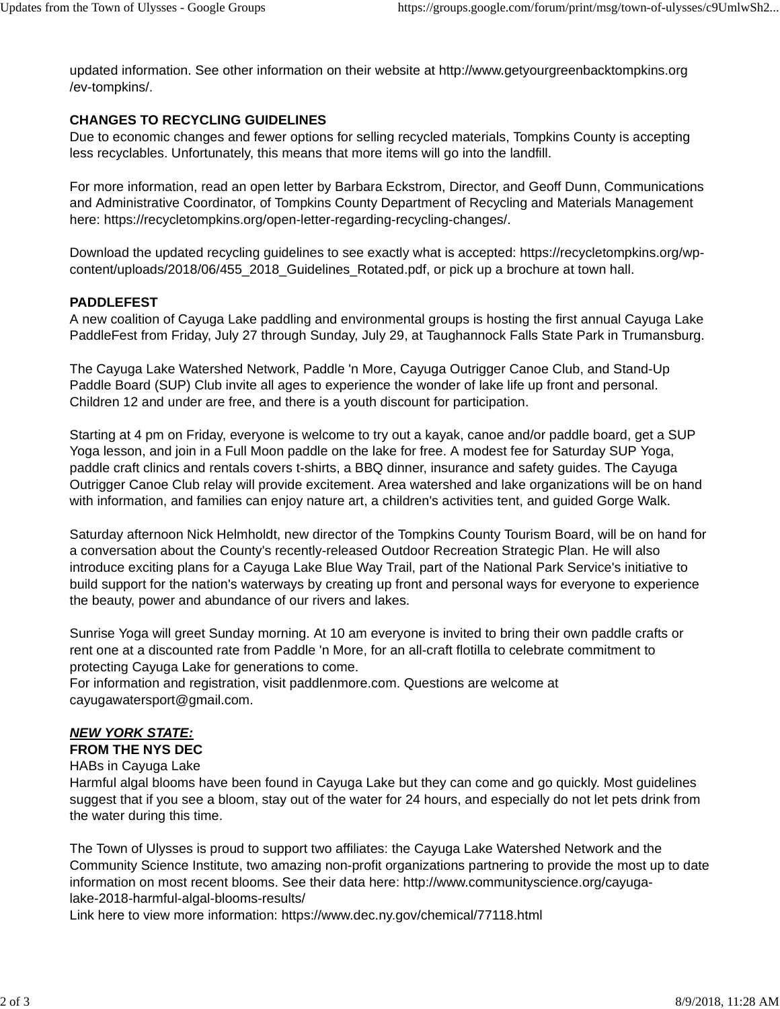updated information. See other information on their website at http://www.getyourgreenbacktompkins.org /ev-tompkins/.

## **CHANGES TO RECYCLING GUIDELINES**

Due to economic changes and fewer options for selling recycled materials, Tompkins County is accepting less recyclables. Unfortunately, this means that more items will go into the landfill.

For more information, read an open letter by Barbara Eckstrom, Director, and Geoff Dunn, Communications and Administrative Coordinator, of Tompkins County Department of Recycling and Materials Management here: https://recycletompkins.org/open-letter-regarding-recycling-changes/.

Download the updated recycling guidelines to see exactly what is accepted: https://recycletompkins.org/wpcontent/uploads/2018/06/455\_2018\_Guidelines\_Rotated.pdf, or pick up a brochure at town hall.

## **PADDLEFEST**

A new coalition of Cayuga Lake paddling and environmental groups is hosting the first annual Cayuga Lake PaddleFest from Friday, July 27 through Sunday, July 29, at Taughannock Falls State Park in Trumansburg.

The Cayuga Lake Watershed Network, Paddle 'n More, Cayuga Outrigger Canoe Club, and Stand-Up Paddle Board (SUP) Club invite all ages to experience the wonder of lake life up front and personal. Children 12 and under are free, and there is a youth discount for participation.

Starting at 4 pm on Friday, everyone is welcome to try out a kayak, canoe and/or paddle board, get a SUP Yoga lesson, and join in a Full Moon paddle on the lake for free. A modest fee for Saturday SUP Yoga, paddle craft clinics and rentals covers t-shirts, a BBQ dinner, insurance and safety guides. The Cayuga Outrigger Canoe Club relay will provide excitement. Area watershed and lake organizations will be on hand with information, and families can enjoy nature art, a children's activities tent, and guided Gorge Walk.

Saturday afternoon Nick Helmholdt, new director of the Tompkins County Tourism Board, will be on hand for a conversation about the County's recently-released Outdoor Recreation Strategic Plan. He will also introduce exciting plans for a Cayuga Lake Blue Way Trail, part of the National Park Service's initiative to build support for the nation's waterways by creating up front and personal ways for everyone to experience the beauty, power and abundance of our rivers and lakes.

Sunrise Yoga will greet Sunday morning. At 10 am everyone is invited to bring their own paddle crafts or rent one at a discounted rate from Paddle 'n More, for an all-craft flotilla to celebrate commitment to protecting Cayuga Lake for generations to come.

For information and registration, visit paddlenmore.com. Questions are welcome at cayugawatersport@gmail.com.

## *NEW YORK STATE:*

## **FROM THE NYS DEC**

## HABs in Cayuga Lake

Harmful algal blooms have been found in Cayuga Lake but they can come and go quickly. Most guidelines suggest that if you see a bloom, stay out of the water for 24 hours, and especially do not let pets drink from the water during this time.

The Town of Ulysses is proud to support two affiliates: the Cayuga Lake Watershed Network and the Community Science Institute, two amazing non-profit organizations partnering to provide the most up to date information on most recent blooms. See their data here: http://www.communityscience.org/cayugalake-2018-harmful-algal-blooms-results/

Link here to view more information: https://www.dec.ny.gov/chemical/77118.html